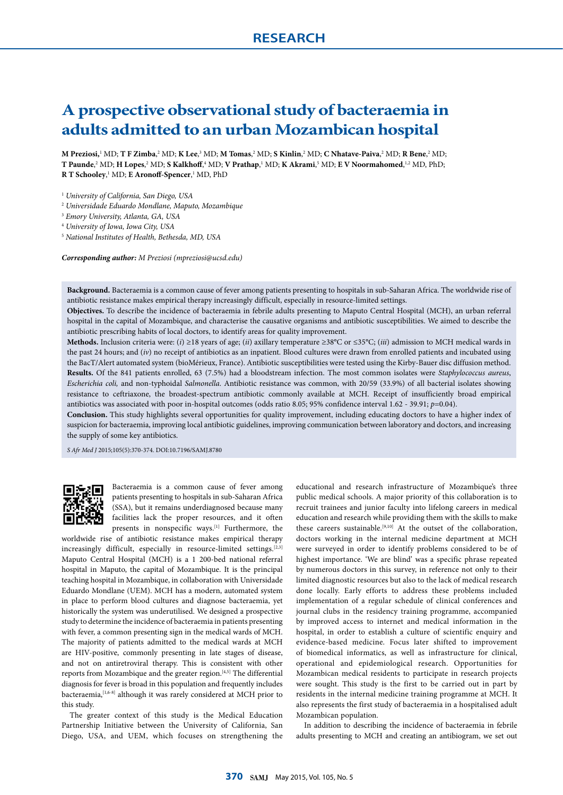# **A prospective observational study of bacteraemia in adults admitted to an urban Mozambican hospital**

**M Preziosi,**<sup>1</sup> MD; **T F Zimba**, 2 MD; **K Lee**, 3 MD; **M Tomas**, 2 MD; **S Kinlin**, 2 MD; **C Nhatave-Paiva**, 2 MD; **R Bene**, 2 MD; **T Paunde,**<sup>2</sup> MD; **H Lopes,**<sup>2</sup> MD; **S Kalkhoff**,<sup>4</sup> MD; **V Prathap**,<sup>1</sup> MD; **K Akrami**,<sup>5</sup> MD; **E V Noormahomed**,<sup>1,2</sup> MD, PhD; **R T Schooley**, 1 MD; **E Aronoff-Spencer**, 1 MD, PhD

<sup>1</sup> *University of California, San Diego, USA*

<sup>2</sup> *Universidade Eduardo Mondlane, Maputo, Mozambique*

<sup>3</sup> *Emory University, Atlanta, GA, USA*

<sup>4</sup> *University of Iowa, Iowa City, USA*

<sup>5</sup> *National Institutes of Health, Bethesda, MD, USA*

*Corresponding author: M Preziosi (mpreziosi@ucsd.edu)*

**Background.** Bacteraemia is a common cause of fever among patients presenting to hospitals in sub-Saharan Africa. The worldwide rise of antibiotic resistance makes empirical therapy increasingly difficult, especially in resource-limited settings.

**Objectives.** To describe the incidence of bacteraemia in febrile adults presenting to Maputo Central Hospital (MCH), an urban referral hospital in the capital of Mozambique, and characterise the causative organisms and antibiotic susceptibilities. We aimed to describe the antibiotic prescribing habits of local doctors, to identify areas for quality improvement.

**Methods.** Inclusion criteria were: (*i*) ≥18 years of age; (*ii*) axillary temperature ≥38°C or ≤35°C; (*iii*) admission to MCH medical wards in the past 24 hours; and (*iv*) no receipt of antibiotics as an inpatient. Blood cultures were drawn from enrolled patients and incubated using the BacT/Alert automated system (bioMérieux, France). Antibiotic susceptibilities were tested using the Kirby-Bauer disc diffusion method. **Results.** Of the 841 patients enrolled, 63 (7.5%) had a bloodstream infection. The most common isolates were *Staphylococcus aureus*, *Escherichia coli,* and non-typhoidal *Salmonella*. Antibiotic resistance was common, with 20/59 (33.9%) of all bacterial isolates showing resistance to ceftriaxone, the broadest-spectrum antibiotic commonly available at MCH. Receipt of insufficiently broad empirical antibiotics was associated with poor in-hospital outcomes (odds ratio 8.05; 95% confidence interval 1.62 - 39.91; *p*=0.04).

**Conclusion.** This study highlights several opportunities for quality improvement, including educating doctors to have a higher index of suspicion for bacteraemia, improving local antibiotic guidelines, improving communication between laboratory and doctors, and increasing the supply of some key antibiotics.

*S Afr Med J* 2015;105(5):370-374. DOI:10.7196/SAMJ.8780



Bacteraemia is a common cause of fever among patients presenting to hospitals in sub-Saharan Africa (SSA), but it remains underdiagnosed because many facilities lack the proper resources, and it often presents in nonspecific ways.[1] Furthermore, the

worldwide rise of antibiotic resistance makes empirical therapy increasingly difficult, especially in resource-limited settings.<sup>[2,3]</sup> Maputo Central Hospital (MCH) is a 1 200-bed national referral hospital in Maputo, the capital of Mozambique. It is the principal teaching hospital in Mozambique, in collaboration with Universidade Eduardo Mondlane (UEM). MCH has a modern, automated system in place to perform blood cultures and diagnose bacteraemia, yet historically the system was underutilised. We designed a prospective study to determine the incidence of bacteraemia in patients presenting with fever, a common presenting sign in the medical wards of MCH. The majority of patients admitted to the medical wards at MCH are HIV-positive, commonly presenting in late stages of disease, and not on antiretroviral therapy. This is consistent with other reports from Mozambique and the greater region.<sup>[4,5]</sup> The differential diagnosis for fever is broad in this population and frequently includes bacteraemia, <a>[1,6-8]</a> although it was rarely considered at MCH prior to this study.

The greater context of this study is the Medical Education Partnership Initiative between the University of California, San Diego, USA, and UEM, which focuses on strengthening the

educational and research infrastructure of Mozambique's three public medical schools. A major priority of this collaboration is to recruit trainees and junior faculty into lifelong careers in medical education and research while providing them with the skills to make these careers sustainable.[9,10] At the outset of the collaboration, doctors working in the internal medicine department at MCH were surveyed in order to identify problems considered to be of highest importance. 'We are blind' was a specific phrase repeated by numerous doctors in this survey, in reference not only to their limited diagnostic resources but also to the lack of medical research done locally. Early efforts to address these problems included implementation of a regular schedule of clinical conferences and journal clubs in the residency training programme, accompanied by improved access to internet and medical information in the hospital, in order to establish a culture of scientific enquiry and evidence-based medicine. Focus later shifted to improvement of biomedical informatics, as well as infrastructure for clinical, operational and epidemiological research. Opportunities for Mozambican medical residents to participate in research projects were sought. This study is the first to be carried out in part by residents in the internal medicine training programme at MCH. It also represents the first study of bacteraemia in a hospitalised adult Mozambican population.

In addition to describing the incidence of bacteraemia in febrile adults presenting to MCH and creating an antibiogram, we set out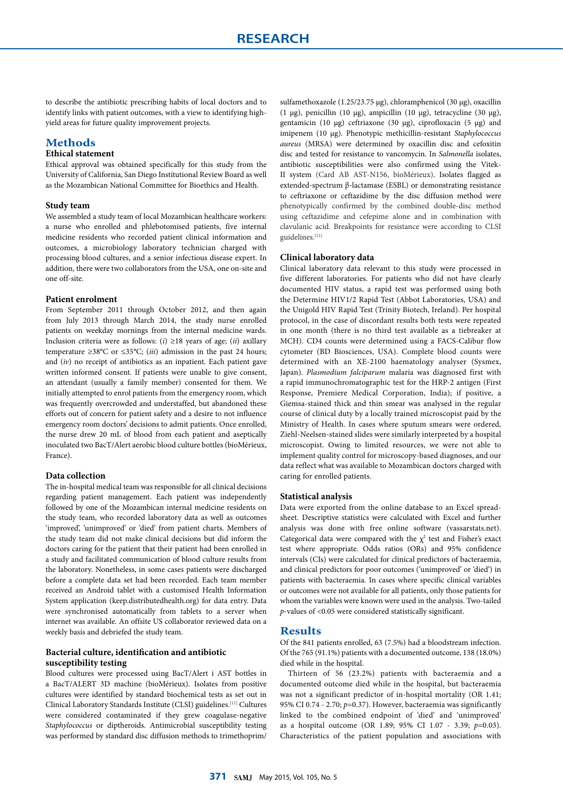to describe the antibiotic prescribing habits of local doctors and to identify links with patient outcomes, with a view to identifying highyield areas for future quality improvement projects.

# **Methods**

# **Ethical statement**

Ethical approval was obtained specifically for this study from the University of California, San Diego Institutional Review Board as well as the Mozambican National Committee for Bioethics and Health.

## **Study team**

We assembled a study team of local Mozambican healthcare workers: a nurse who enrolled and phlebotomised patients, five internal medicine residents who recorded patient clinical information and outcomes, a microbiology laboratory technician charged with processing blood cultures, and a senior infectious disease expert. In addition, there were two collaborators from the USA, one on-site and one off-site.

# **Patient enrolment**

From September 2011 through October 2012, and then again from July 2013 through March 2014, the study nurse enrolled patients on weekday mornings from the internal medicine wards. Inclusion criteria were as follows: (*i*) ≥18 years of age; (*ii*) axillary temperature ≥38°C or ≤35°C; (*iii*) admission in the past 24 hours; and (*iv*) no receipt of antibiotics as an inpatient. Each patient gave written informed consent. If patients were unable to give consent, an attendant (usually a family member) consented for them. We initially attempted to enrol patients from the emergency room, which was frequently overcrowded and understaffed, but abandoned these efforts out of concern for patient safety and a desire to not influence emergency room doctors' decisions to admit patients. Once enrolled, the nurse drew 20 mL of blood from each patient and aseptically inoculated two BacT/Alert aerobic blood culture bottles (bioMérieux, France).

# **Data collection**

The in-hospital medical team was responsible for all clinical decisions regarding patient management. Each patient was independently followed by one of the Mozambican internal medicine residents on the study team, who recorded laboratory data as well as outcomes 'improved', 'unimproved' or 'died' from patient charts. Members of the study team did not make clinical decisions but did inform the doctors caring for the patient that their patient had been enrolled in a study and facilitated communication of blood culture results from the laboratory. Nonetheless, in some cases patients were discharged before a complete data set had been recorded. Each team member received an Android tablet with a customised Health Information System application (keep.distributedhealth.org) for data entry. Data were synchronised automatically from tablets to a server when internet was available. An offsite US collaborator reviewed data on a weekly basis and debriefed the study team.

# **Bacterial culture, identification and antibiotic susceptibility testing**

Blood cultures were processed using BacT/Alert i AST bottles in a BacT/ALERT 3D machine (bioMérieux). Isolates from positive cultures were identified by standard biochemical tests as set out in Clinical Laboratory Standards Institute (CLSI) guidelines.[11] Cultures were considered contaminated if they grew coagulase-negative *Staphylococcus* or diptheroids. Antimicrobial susceptibility testing was performed by standard disc diffusion methods to trimethoprim/

sulfamethoxazole (1.25/23.75 μg), chloramphenicol (30 μg), oxacillin (1 μg), penicillin (10 μg), ampicillin (10 μg), tetracycline (30 μg), gentamicin (10 μg) ceftriaxone (30 μg), ciprofloxacin (5 μg) and imipenem (10 μg). Phenotypic methicillin-resistant *Staphylococcus aureus* (MRSA) were determined by oxacillin disc and cefoxitin disc and tested for resistance to vancomycin. In *Salmonella* isolates, antibiotic susceptibilities were also confirmed using the Vitek-II system (Card AB AST-N156, bioMérieux). Isolates flagged as extended-spectrum β-lactamase (ESBL) or demonstrating resistance to ceftriaxone or ceftazidime by the disc diffusion method were phenotypically confirmed by the combined double-disc method using ceftazidime and cefepime alone and in combination with clavulanic acid. Breakpoints for resistance were according to CLSI guidelines.[11]

#### **Clinical laboratory data**

Clinical laboratory data relevant to this study were processed in five different laboratories. For patients who did not have clearly documented HIV status, a rapid test was performed using both the Determine HIV1/2 Rapid Test (Abbot Laboratories, USA) and the Unigold HIV Rapid Test (Trinity Biotech, Ireland). Per hospital protocol, in the case of discordant results both tests were repeated in one month (there is no third test available as a tiebreaker at MCH). CD4 counts were determined using a FACS-Calibur flow cytometer (BD Biosciences, USA). Complete blood counts were determined with an XE-2100 haematology analyser (Sysmex, Japan). *Plasmodium falciparum* malaria was diagnosed first with a rapid immunochromatographic test for the HRP-2 antigen (First Response, Premiere Medical Corporation, India); if positive, a Giemsa-stained thick and thin smear was analysed in the regular course of clinical duty by a locally trained microscopist paid by the Ministry of Health. In cases where sputum smears were ordered, Ziehl-Neelsen-stained slides were similarly interpreted by a hospital microscopist. Owing to limited resources, we were not able to implement quality control for microscopy-based diagnoses, and our data reflect what was available to Mozambican doctors charged with caring for enrolled patients.

#### **Statistical analysis**

Data were exported from the online database to an Excel spreadsheet. Descriptive statistics were calculated with Excel and further analysis was done with free online software (vassarstats.net). Categorical data were compared with the  $\chi^2$  test and Fisher's exact test where appropriate. Odds ratios (ORs) and 95% confidence intervals (CIs) were calculated for clinical predictors of bacteraemia, and clinical predictors for poor outcomes ('unimproved' or 'died') in patients with bacteraemia. In cases where specific clinical variables or outcomes were not available for all patients, only those patients for whom the variables were known were used in the analysis. Two-tailed *p*-values of <0.05 were considered statistically significant.

# **Results**

Of the 841 patients enrolled, 63 (7.5%) had a bloodstream infection. Of the 765 (91.1%) patients with a documented outcome, 138 (18.0%) died while in the hospital.

Thirteen of 56 (23.2%) patients with bacteraemia and a documented outcome died while in the hospital, but bacteraemia was not a significant predictor of in-hospital mortality (OR 1.41; 95% CI 0.74 - 2.70; *p*=0.37). However, bacteraemia was significantly linked to the combined endpoint of 'died' and 'unimproved' as a hospital outcome (OR 1.89; 95% CI 1.07 - 3.39; *p*=0.03). Characteristics of the patient population and associations with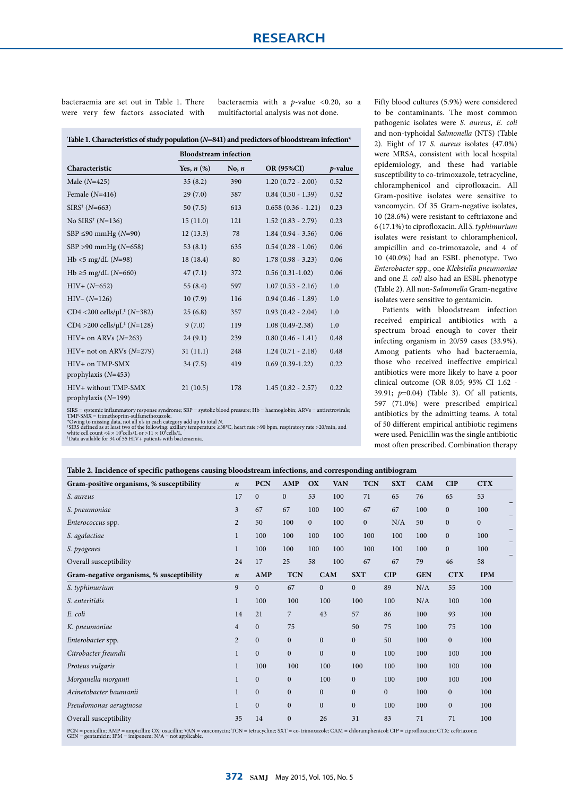bacteraemia are set out in Table 1. There were very few factors associated with bacteraemia with a *p*-value <0.20, so a multifactorial analysis was not done.

|                                               | <b>Bloodstream</b> infection |         |                        |            |
|-----------------------------------------------|------------------------------|---------|------------------------|------------|
| Characteristic                                | Yes, $n$ $(\%)$              | No, $n$ | <b>OR (95%CI)</b>      | $p$ -value |
| Male $(N=425)$                                | 35(8.2)                      | 390     | $1.20(0.72 - 2.00)$    | 0.52       |
| Female $(N=416)$                              | 29(7.0)                      | 387     | $0.84$ $(0.50 - 1.39)$ | 0.52       |
| $SIRS^+(N=663)$                               | 50(7.5)                      | 613     | $0.658(0.36 - 1.21)$   | 0.23       |
| No SIRS <sup>†</sup> ( $N=136$ )              | 15(11.0)                     | 121     | $1.52(0.83 - 2.79)$    | 0.23       |
| SBP $\leq$ 90 mmHg (N=90)                     | 12(13.3)                     | 78      | $1.84(0.94 - 3.56)$    | 0.06       |
| $SBP > 90$ mmHg ( $N=658$ )                   | 53(8.1)                      | 635     | $0.54(0.28 - 1.06)$    | 0.06       |
| $Hb < 5$ mg/dL (N=98)                         | 18(18.4)                     | 80      | $1.78(0.98 - 3.23)$    | 0.06       |
| Hb ≥5 mg/dL ( $N=660$ )                       | 47(7.1)                      | 372     | $0.56(0.31-1.02)$      | 0.06       |
| $HIV+ (N=652)$                                | 55 $(8.4)$                   | 597     | $1.07(0.53 - 2.16)$    | 1.0        |
| $HIV- (N=126)$                                | 10(7.9)                      | 116     | $0.94(0.46 - 1.89)$    | 1.0        |
| CD4 <200 cells/ $\mu$ L <sup>‡</sup> (N=382)  | 25(6.8)                      | 357     | $0.93(0.42 - 2.04)$    | 1.0        |
| CD4 > 200 cells/ $\mu$ L <sup>‡</sup> (N=128) | 9(7.0)                       | 119     | $1.08(0.49-2.38)$      | 1.0        |
| $HIV+$ on ARVs ( $N=263$ )                    | 24(9.1)                      | 239     | $0.80(0.46 - 1.41)$    | 0.48       |
| $HIV+$ not on ARVs ( $N=279$ )                | 31(11.1)                     | 248     | $1.24(0.71 - 2.18)$    | 0.48       |
| HIV+ on TMP-SMX<br>prophylaxis $(N=453)$      | 34(7.5)                      | 419     | $0.69(0.39-1.22)$      | 0.22       |
| HIV+ without TMP-SMX<br>prophylaxis $(N=199)$ | 21(10.5)                     | 178     | $1.45(0.82 - 2.57)$    | 0.22       |

Fifty blood cultures (5.9%) were considered to be contaminants. The most common pathogenic isolates were *S. aureus*, *E. coli*  and non-typhoidal *Salmonella* (NTS) (Table 2). Eight of 17 *S. aureus* isolates (47.0%) were MRSA, consistent with local hospital epidemiology, and these had variable susceptibility to co-trimoxazole, tetracycline, chloramphenicol and ciprofloxacin. All Gram-positive isolates were sensitive to vancomycin. Of 35 Gram-negative isolates, 10 (28.6%) were resistant to ceftriaxone and 6 (17.1%) to ciprofloxacin. All *S. typhimurium* isolates were resistant to chloramphenicol, ampicillin and co-trimoxazole, and 4 of 10 (40.0%) had an ESBL phenotype. Two *Enterobacter* spp., one *Klebsiella pneumoniae*  and one *E. coli* also had an ESBL phenotype (Table 2). All non-*Salmonella* Gram-negative isolates were sensitive to gentamicin.

Patients with bloodstream infection received empirical antibiotics with a spectrum broad enough to cover their infecting organism in 20/59 cases (33.9%). Among patients who had bacteraemia, those who received ineffective empirical antibiotics were more likely to have a poor clinical outcome (OR 8.05; 95% CI 1.62 - 39.91; *p*=0.04) (Table 3). Of all patients, 597 (71.0%) were prescribed empirical antibiotics by the admitting teams. A total of 50 different empirical antibiotic regimens were used. Penicillin was the single antibiotic most often prescribed. Combination therapy

SIRS = systemic inflammatory response syndrome; SBP = systolic blood pressure; Hb = haemoglobin; ARVs = antiretrovirals; TMP-SMX = trimethoprim-sulfamethoxazole.<br>TMP-SMX = trimethoprim-sulfamethoxazole.<br>\*Owing to missing

|  | Table 2. Incidence of specific pathogens causing bloodstream infections, and corresponding antibiogram |  |
|--|--------------------------------------------------------------------------------------------------------|--|
|  |                                                                                                        |  |

|                                           |                |              | o                |                  |            |                |              |            |              |                  |
|-------------------------------------------|----------------|--------------|------------------|------------------|------------|----------------|--------------|------------|--------------|------------------|
| Gram-positive organisms, % susceptibility | $\pmb{n}$      | <b>PCN</b>   | AMP              | OX               | <b>VAN</b> | <b>TCN</b>     | <b>SXT</b>   | CAM        | <b>CIP</b>   | <b>CTX</b>       |
| S. aureus                                 | 17             | $\mathbf{0}$ | $\mathbf{0}$     | 53               | 100        | 71             | 65           | 76         | 65           | 53               |
| S. pneumoniae                             | 3              | 67           | 67               | 100              | 100        | 67             | 67           | 100        | $\mathbf{0}$ | 100              |
| Enterococcus spp.                         | $\overline{2}$ | 50           | 100              | $\mathbf{0}$     | 100        | $\mathbf{0}$   | N/A          | 50         | $\mathbf{0}$ | $\boldsymbol{0}$ |
| S. agalactiae                             | $\mathbf{1}$   | 100          | 100              | 100              | 100        | 100            | 100          | 100        | $\mathbf{0}$ | 100              |
| S. pyogenes                               | $\mathbf{1}$   | 100          | 100              | 100              | 100        | 100            | 100          | 100        | $\mathbf{0}$ | 100              |
| Overall susceptibility                    | 24             | 17           | 25               | 58               | 100        | 67             | 67           | 79         | 46           | 58               |
| Gram-negative organisms, % susceptibility | $\pmb{n}$      | AMP          | <b>TCN</b>       |                  | CAM        | <b>SXT</b>     | <b>CIP</b>   | <b>GEN</b> | <b>CTX</b>   | <b>IPM</b>       |
| S. typhimurium                            | 9              | $\mathbf{0}$ | 67               | $\bf{0}$         |            | $\overline{0}$ | 89           | N/A        | 55           | 100              |
| S. enteritidis                            | $\mathbf{1}$   | 100          | 100              |                  | 100        | 100            | 100          | N/A        | 100          | 100              |
| E. coli                                   | 14             | 21           | 7                | 43               |            | 57             | 86           | 100        | 93           | 100              |
| K. pneumoniae                             | $\overline{4}$ | $\mathbf{0}$ | 75               |                  |            | 50             | 75           | 100        | 75           | 100              |
| Enterobacter spp.                         | $\overline{2}$ | $\mathbf{0}$ | $\mathbf{0}$     | $\boldsymbol{0}$ |            | $\mathbf{0}$   | 50           | 100        | $\mathbf{0}$ | 100              |
| Citrobacter freundii                      | $\mathbf{1}$   | $\mathbf{0}$ | $\overline{0}$   | $\boldsymbol{0}$ |            | $\overline{0}$ | 100          | 100        | 100          | 100              |
| Proteus vulgaris                          | $\mathbf{1}$   | 100          | 100              |                  | 100        | 100            | 100          | 100        | 100          | 100              |
| Morganella morganii                       | $\mathbf{1}$   | $\mathbf{0}$ | $\boldsymbol{0}$ |                  | 100        | $\mathbf{0}$   | 100          | 100        | 100          | 100              |
| Acinetobacter baumanii                    | $\mathbf{1}$   | $\mathbf{0}$ | $\mathbf{0}$     | $\boldsymbol{0}$ |            | $\mathbf{0}$   | $\mathbf{0}$ | 100        | $\mathbf{0}$ | 100              |
| Pseudomonas aeruginosa                    | $\mathbf{1}$   | $\mathbf{0}$ | $\boldsymbol{0}$ | $\boldsymbol{0}$ |            | $\mathbf{0}$   | 100          | 100        | $\mathbf{0}$ | 100              |
| Overall susceptibility                    | 35             | 14           | $\boldsymbol{0}$ | 26               |            | 31             | 83           | 71         | 71           | 100              |
| $1.1111$ $0.988$                          |                |              |                  |                  |            |                |              |            |              |                  |

PCN = penicillin; AMP = ampicillin; OX: oxacillin; VAN = vancomycin; TCN = tetracycline; SXT = co-trimoxazole; CAM = chloramphenicol; CIP = ciprofloxacin; CTX: ceftriaxone;<br>GEN = gentamicin; IPM = imipenem; N/A = not appli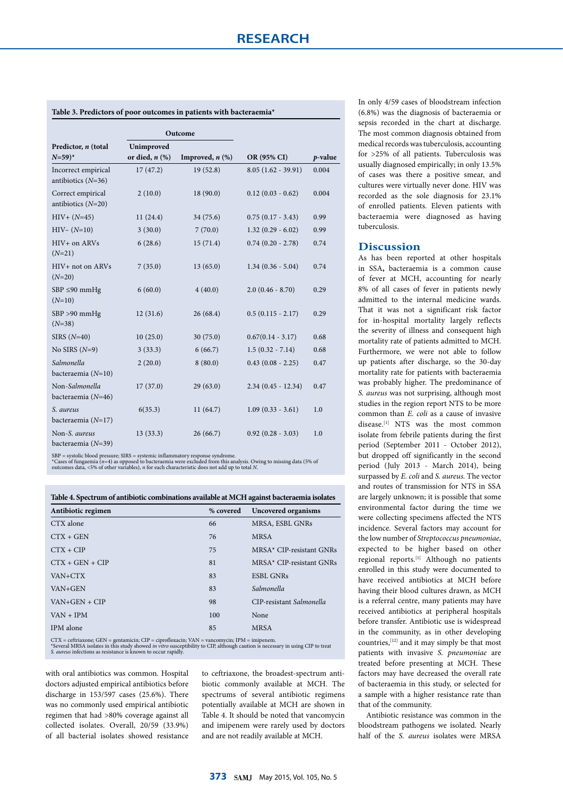|                                              | Outcome                           |                      |                        |         |
|----------------------------------------------|-----------------------------------|----------------------|------------------------|---------|
| Predictor, n (total<br>$N = 59$ <sup>*</sup> | Unimproved<br>or died, $n$ $(\%)$ | Improved, $n$ $(\%)$ | OR (95% CI)            | p-value |
| Incorrect empirical<br>antibiotics $(N=36)$  | 17(47.2)                          | 19(52.8)             | $8.05(1.62 - 39.91)$   | 0.004   |
| Correct empirical<br>antibiotics $(N=20)$    | 2(10.0)                           | 18(90.0)             | $0.12(0.03 - 0.62)$    | 0.004   |
| $HIV+ (N=45)$                                | 11(24.4)                          | 34 (75.6)            | $0.75(0.17 - 3.43)$    | 0.99    |
| $HIV- (N=10)$                                | 3(30.0)                           | 7(70.0)              | $1.32(0.29 - 6.02)$    | 0.99    |
| $HIV+$ on $ARVs$<br>$(N=21)$                 | 6(28.6)                           | 15(71.4)             | $0.74$ $(0.20 - 2.78)$ | 0.74    |
| HIV+ not on ARVs<br>$(N=20)$                 | 7(35.0)                           | 13(65.0)             | $1.34(0.36 - 5.04)$    | 0.74    |
| $SBP \leq 90$ mmHg<br>$(N=10)$               | 6(60.0)                           | 4(40.0)              | $2.0(0.46 - 8.70)$     | 0.29    |
| $SBP > 90$ mmHg<br>$(N=38)$                  | 12(31.6)                          | 26(68.4)             | $0.5(0.115 - 2.17)$    | 0.29    |
| SIRS $(N=40)$                                | 10(25.0)                          | 30(75.0)             | $0.67(0.14 - 3.17)$    | 0.68    |
| No SIRS $(N=9)$                              | 3(33.3)                           | 6(66.7)              | $1.5(0.32 - 7.14)$     | 0.68    |
| Salmonella<br>bacteraemia $(N=10)$           | 2(20.0)                           | 8(80.0)              | $0.43(0.08 - 2.25)$    | 0.47    |

### **Table 3. Predictors of poor outcomes in patients with bacteraemia\***

Non-*Salmonella*  bacteraemia (*N*=46)

bacteraemia (*N*=17)

Non-*S. aureus* bacteraemia (*N*=39)

*S. aureus*

SBP = systolic blood pressure; SIRS = systemic inflammatory response syndrome.<br>\*Cases of fungaemia (n=4) as opposed to bacteraemia were excluded from this analysis. Owing to missing data (5% of<br>outcomes data, <5% of other

17 (37.0) 29 (63.0) 2.34 (0.45 - 12.34) 0.47

 $(6(35.3)$  11  $(64.7)$  1.09  $(0.33 - 3.61)$  1.0

13 (33.3) 26 (66.7) 0.92 (0.28 - 3.03) 1.0

| Antibiotic regimen                                                                            | % covered | Uncovered organisms      |  |  |  |
|-----------------------------------------------------------------------------------------------|-----------|--------------------------|--|--|--|
| CTX alone                                                                                     | 66        | MRSA, ESBL GNRs          |  |  |  |
| $CTX + GEN$                                                                                   | 76        | <b>MRSA</b>              |  |  |  |
| $CTX + CIP$                                                                                   | 75        | MRSA* CIP-resistant GNRs |  |  |  |
| $CTX + GEN + CIP$                                                                             | 81        | MRSA* CIP-resistant GNRs |  |  |  |
| VAN+CTX                                                                                       | 83        | <b>ESBL GNRs</b>         |  |  |  |
| VAN+GEN                                                                                       | 83        | Salmonella               |  |  |  |
| $VAN+GEN + CIP$                                                                               | 98        | CIP-resistant Salmonella |  |  |  |
| $VAN + IPM$                                                                                   | 100       | None                     |  |  |  |
| IPM alone                                                                                     | 85        | <b>MRSA</b>              |  |  |  |
| $CTX =$ ceftriaxone; GEN = gentamicin; CIP = ciprofloxacin; VAN = vancomycin; IPM = imipenem. |           |                          |  |  |  |

CTX = ceftriaxone; GEN = gentamicin; CIP = ciprofloxacin; VAN = vancomycin; IPM = imipenem.<br>\*Several MRSA isolates in this study showed *in vitro* susceptibility to CIP, although caution is necessary in using CIP to treat<br>

with oral antibiotics was common. Hospital doctors adjusted empirical antibiotics before discharge in 153/597 cases (25.6%). There was no commonly used empirical antibiotic regimen that had >80% coverage against all collected isolates. Overall, 20/59 (33.9%) of all bacterial isolates showed resistance to ceftriaxone, the broadest-spectrum antibiotic commonly available at MCH. The spectrums of several antibiotic regimens potentially available at MCH are shown in Table 4. It should be noted that vancomycin and imipenem were rarely used by doctors and are not readily available at MCH.

In only 4/59 cases of bloodstream infection (6.8%) was the diagnosis of bacteraemia or sepsis recorded in the chart at discharge. The most common diagnosis obtained from medical records was tuberculosis, accounting for >25% of all patients. Tuberculosis was usually diagnosed empirically; in only 13.5% of cases was there a positive smear, and cultures were virtually never done. HIV was recorded as the sole diagnosis for 23.1% of enrolled patients. Eleven patients with bacteraemia were diagnosed as having tuberculosis.

#### **Discussion**

As has been reported at other hospitals in SSA**,** bacteraemia is a common cause of fever at MCH, accounting for nearly 8% of all cases of fever in patients newly admitted to the internal medicine wards. That it was not a significant risk factor for in-hospital mortality largely reflects the severity of illness and consequent high mortality rate of patients admitted to MCH. Furthermore, we were not able to follow up patients after discharge, so the 30-day mortality rate for patients with bacteraemia was probably higher. The predominance of *S. aureus* was not surprising, although most studies in the region report NTS to be more common than *E. coli* as a cause of invasive disease.<sup>[1]</sup> NTS was the most common isolate from febrile patients during the first period (September 2011 - October 2012), but dropped off significantly in the second period (July 2013 - March 2014), being surpassed by *E. coli* and *S. aureus.* The vector and routes of transmission for NTS in SSA are largely unknown; it is possible that some environmental factor during the time we were collecting specimens affected the NTS incidence. Several factors may account for the low number of *Streptococcus pneumoniae*, expected to be higher based on other regional reports.[1] Although no patients enrolled in this study were documented to have received antibiotics at MCH before having their blood cultures drawn, as MCH is a referral centre, many patients may have received antibiotics at peripheral hospitals before transfer. Antibiotic use is widespread in the community, as in other developing countries,[12] and it may simply be that most patients with invasive *S. pneumoniae* are treated before presenting at MCH. These factors may have decreased the overall rate of bacteraemia in this study, or selected for a sample with a higher resistance rate than that of the community.

Antibiotic resistance was common in the bloodstream pathogens we isolated. Nearly half of the *S. aureus* isolates were MRSA